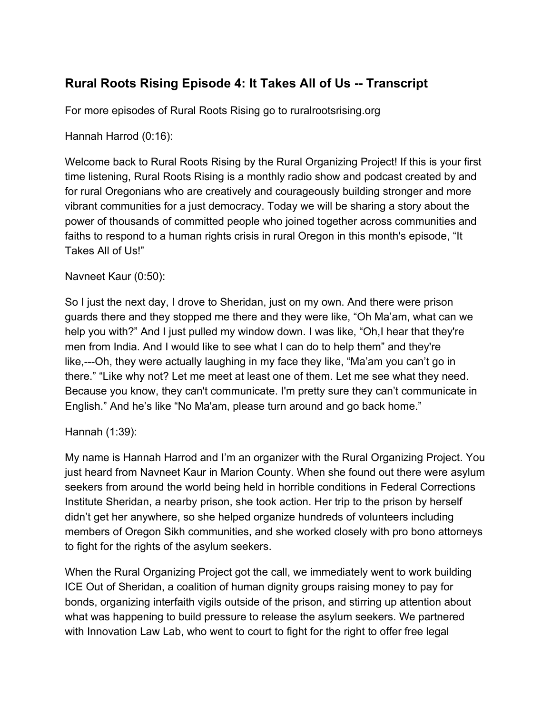# **Rural Roots Rising Episode 4: It Takes All of Us -- Transcript**

For more episodes of Rural Roots Rising go to ruralrootsrising.org

Hannah Harrod (0:16):

Welcome back to Rural Roots Rising by the Rural Organizing Project! If this is your first time listening, Rural Roots Rising is a monthly radio show and podcast created by and for rural Oregonians who are creatively and courageously building stronger and more vibrant communities for a just democracy. Today we will be sharing a story about the power of thousands of committed people who joined together across communities and faiths to respond to a human rights crisis in rural Oregon in this month's episode, "It Takes All of Us!"

#### Navneet Kaur (0:50):

So I just the next day, I drove to Sheridan, just on my own. And there were prison guards there and they stopped me there and they were like, "Oh Ma'am, what can we help you with?" And I just pulled my window down. I was like, "Oh,I hear that they're men from India. And I would like to see what I can do to help them" and they're like,---Oh, they were actually laughing in my face they like, "Ma'am you can't go in there." "Like why not? Let me meet at least one of them. Let me see what they need. Because you know, they can't communicate. I'm pretty sure they can't communicate in English." And he's like "No Ma'am, please turn around and go back home."

## Hannah (1:39):

My name is Hannah Harrod and I'm an organizer with the Rural Organizing Project. You just heard from Navneet Kaur in Marion County. When she found out there were asylum seekers from around the world being held in horrible conditions in Federal Corrections Institute Sheridan, a nearby prison, she took action. Her trip to the prison by herself didn't get her anywhere, so she helped organize hundreds of volunteers including members of Oregon Sikh communities, and she worked closely with pro bono attorneys to fight for the rights of the asylum seekers.

When the Rural Organizing Project got the call, we immediately went to work building ICE Out of Sheridan, a coalition of human dignity groups raising money to pay for bonds, organizing interfaith vigils outside of the prison, and stirring up attention about what was happening to build pressure to release the asylum seekers. We partnered with Innovation Law Lab, who went to court to fight for the right to offer free legal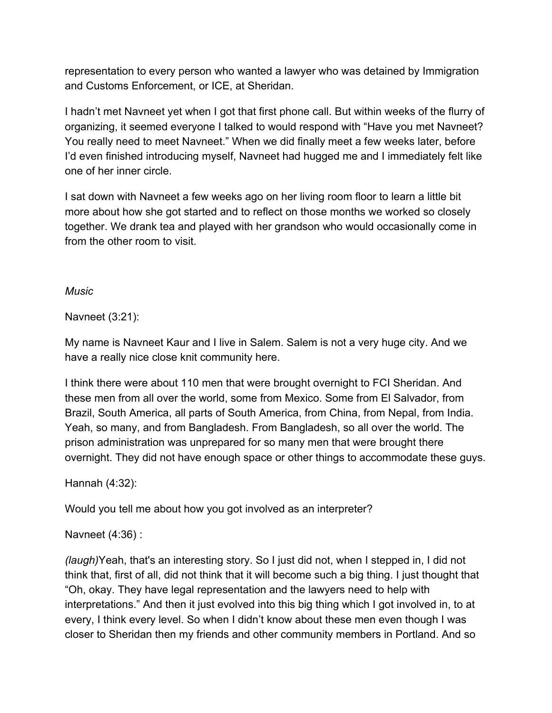representation to every person who wanted a lawyer who was detained by Immigration and Customs Enforcement, or ICE, at Sheridan.

I hadn't met Navneet yet when I got that first phone call. But within weeks of the flurry of organizing, it seemed everyone I talked to would respond with "Have you met Navneet? You really need to meet Navneet." When we did finally meet a few weeks later, before I'd even finished introducing myself, Navneet had hugged me and I immediately felt like one of her inner circle.

I sat down with Navneet a few weeks ago on her living room floor to learn a little bit more about how she got started and to reflect on those months we worked so closely together. We drank tea and played with her grandson who would occasionally come in from the other room to visit.

## *Music*

Navneet (3:21):

My name is Navneet Kaur and I live in Salem. Salem is not a very huge city. And we have a really nice close knit community here.

I think there were about 110 men that were brought overnight to FCI Sheridan. And these men from all over the world, some from Mexico. Some from El Salvador, from Brazil, South America, all parts of South America, from China, from Nepal, from India. Yeah, so many, and from Bangladesh. From Bangladesh, so all over the world. The prison administration was unprepared for so many men that were brought there overnight. They did not have enough space or other things to accommodate these guys.

# Hannah (4:32):

Would you tell me about how you got involved as an interpreter?

# Navneet (4:36) :

*(laugh)*Yeah, that's an interesting story. So I just did not, when I stepped in, I did not think that, first of all, did not think that it will become such a big thing. I just thought that "Oh, okay. They have legal representation and the lawyers need to help with interpretations." And then it just evolved into this big thing which I got involved in, to at every, I think every level. So when I didn't know about these men even though I was closer to Sheridan then my friends and other community members in Portland. And so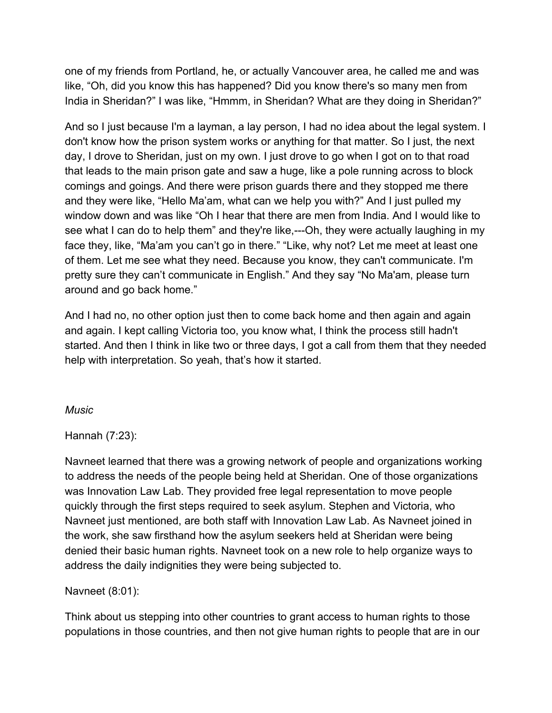one of my friends from Portland, he, or actually Vancouver area, he called me and was like, "Oh, did you know this has happened? Did you know there's so many men from India in Sheridan?" I was like, "Hmmm, in Sheridan? What are they doing in Sheridan?"

And so I just because I'm a layman, a lay person, I had no idea about the legal system. I don't know how the prison system works or anything for that matter. So I just, the next day, I drove to Sheridan, just on my own. I just drove to go when I got on to that road that leads to the main prison gate and saw a huge, like a pole running across to block comings and goings. And there were prison guards there and they stopped me there and they were like, "Hello Ma'am, what can we help you with?" And I just pulled my window down and was like "Oh I hear that there are men from India. And I would like to see what I can do to help them" and they're like,---Oh, they were actually laughing in my face they, like, "Ma'am you can't go in there." "Like, why not? Let me meet at least one of them. Let me see what they need. Because you know, they can't communicate. I'm pretty sure they can't communicate in English." And they say "No Ma'am, please turn around and go back home."

And I had no, no other option just then to come back home and then again and again and again. I kept calling Victoria too, you know what, I think the process still hadn't started. And then I think in like two or three days, I got a call from them that they needed help with interpretation. So yeah, that's how it started.

## *Music*

Hannah (7:23):

Navneet learned that there was a growing network of people and organizations working to address the needs of the people being held at Sheridan. One of those organizations was Innovation Law Lab. They provided free legal representation to move people quickly through the first steps required to seek asylum. Stephen and Victoria, who Navneet just mentioned, are both staff with Innovation Law Lab. As Navneet joined in the work, she saw firsthand how the asylum seekers held at Sheridan were being denied their basic human rights. Navneet took on a new role to help organize ways to address the daily indignities they were being subjected to.

## Navneet (8:01):

Think about us stepping into other countries to grant access to human rights to those populations in those countries, and then not give human rights to people that are in our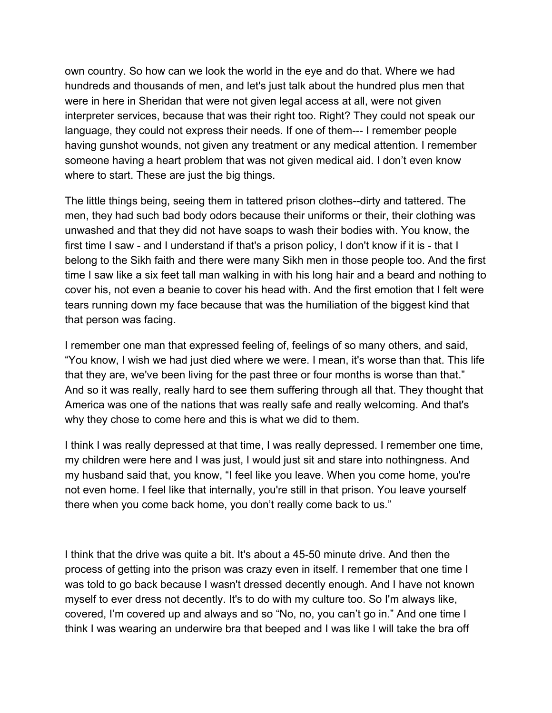own country. So how can we look the world in the eye and do that. Where we had hundreds and thousands of men, and let's just talk about the hundred plus men that were in here in Sheridan that were not given legal access at all, were not given interpreter services, because that was their right too. Right? They could not speak our language, they could not express their needs. If one of them--- I remember people having gunshot wounds, not given any treatment or any medical attention. I remember someone having a heart problem that was not given medical aid. I don't even know where to start. These are just the big things.

The little things being, seeing them in tattered prison clothes--dirty and tattered. The men, they had such bad body odors because their uniforms or their, their clothing was unwashed and that they did not have soaps to wash their bodies with. You know, the first time I saw - and I understand if that's a prison policy, I don't know if it is - that I belong to the Sikh faith and there were many Sikh men in those people too. And the first time I saw like a six feet tall man walking in with his long hair and a beard and nothing to cover his, not even a beanie to cover his head with. And the first emotion that I felt were tears running down my face because that was the humiliation of the biggest kind that that person was facing.

I remember one man that expressed feeling of, feelings of so many others, and said, "You know, I wish we had just died where we were. I mean, it's worse than that. This life that they are, we've been living for the past three or four months is worse than that." And so it was really, really hard to see them suffering through all that. They thought that America was one of the nations that was really safe and really welcoming. And that's why they chose to come here and this is what we did to them.

I think I was really depressed at that time, I was really depressed. I remember one time, my children were here and I was just, I would just sit and stare into nothingness. And my husband said that, you know, "I feel like you leave. When you come home, you're not even home. I feel like that internally, you're still in that prison. You leave yourself there when you come back home, you don't really come back to us."

I think that the drive was quite a bit. It's about a 45-50 minute drive. And then the process of getting into the prison was crazy even in itself. I remember that one time I was told to go back because I wasn't dressed decently enough. And I have not known myself to ever dress not decently. It's to do with my culture too. So I'm always like, covered, I'm covered up and always and so "No, no, you can't go in." And one time I think I was wearing an underwire bra that beeped and I was like I will take the bra off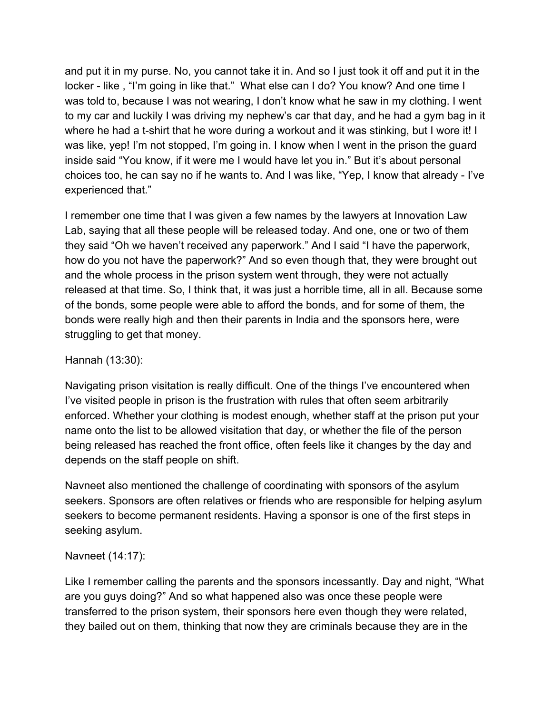and put it in my purse. No, you cannot take it in. And so I just took it off and put it in the locker - like , "I'm going in like that." What else can I do? You know? And one time I was told to, because I was not wearing, I don't know what he saw in my clothing. I went to my car and luckily I was driving my nephew's car that day, and he had a gym bag in it where he had a t-shirt that he wore during a workout and it was stinking, but I wore it! I was like, yep! I'm not stopped, I'm going in. I know when I went in the prison the guard inside said "You know, if it were me I would have let you in." But it's about personal choices too, he can say no if he wants to. And I was like, "Yep, I know that already - I've experienced that."

I remember one time that I was given a few names by the lawyers at Innovation Law Lab, saying that all these people will be released today. And one, one or two of them they said "Oh we haven't received any paperwork." And I said "I have the paperwork, how do you not have the paperwork?" And so even though that, they were brought out and the whole process in the prison system went through, they were not actually released at that time. So, I think that, it was just a horrible time, all in all. Because some of the bonds, some people were able to afford the bonds, and for some of them, the bonds were really high and then their parents in India and the sponsors here, were struggling to get that money.

# Hannah (13:30):

Navigating prison visitation is really difficult. One of the things I've encountered when I've visited people in prison is the frustration with rules that often seem arbitrarily enforced. Whether your clothing is modest enough, whether staff at the prison put your name onto the list to be allowed visitation that day, or whether the file of the person being released has reached the front office, often feels like it changes by the day and depends on the staff people on shift.

Navneet also mentioned the challenge of coordinating with sponsors of the asylum seekers. Sponsors are often relatives or friends who are responsible for helping asylum seekers to become permanent residents. Having a sponsor is one of the first steps in seeking asylum.

## Navneet (14:17):

Like I remember calling the parents and the sponsors incessantly. Day and night, "What are you guys doing?" And so what happened also was once these people were transferred to the prison system, their sponsors here even though they were related, they bailed out on them, thinking that now they are criminals because they are in the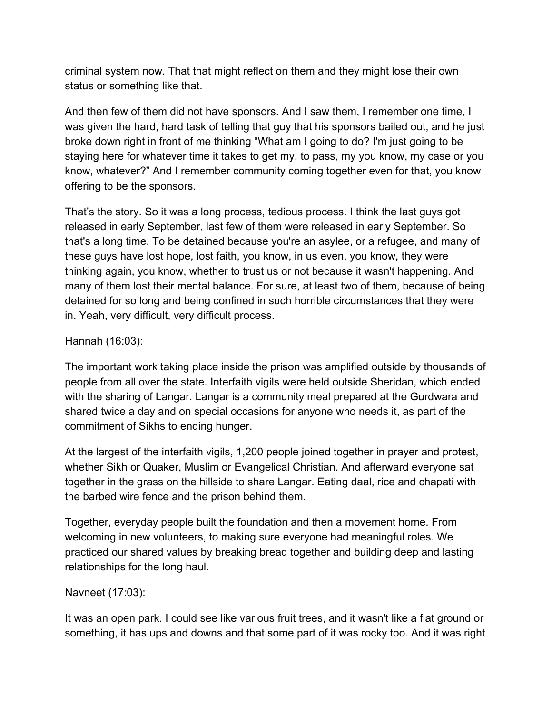criminal system now. That that might reflect on them and they might lose their own status or something like that.

And then few of them did not have sponsors. And I saw them, I remember one time, I was given the hard, hard task of telling that guy that his sponsors bailed out, and he just broke down right in front of me thinking "What am I going to do? I'm just going to be staying here for whatever time it takes to get my, to pass, my you know, my case or you know, whatever?" And I remember community coming together even for that, you know offering to be the sponsors.

That's the story. So it was a long process, tedious process. I think the last guys got released in early September, last few of them were released in early September. So that's a long time. To be detained because you're an asylee, or a refugee, and many of these guys have lost hope, lost faith, you know, in us even, you know, they were thinking again, you know, whether to trust us or not because it wasn't happening. And many of them lost their mental balance. For sure, at least two of them, because of being detained for so long and being confined in such horrible circumstances that they were in. Yeah, very difficult, very difficult process.

## Hannah (16:03):

The important work taking place inside the prison was amplified outside by thousands of people from all over the state. Interfaith vigils were held outside Sheridan, which ended with the sharing of Langar. Langar is a community meal prepared at the Gurdwara and shared twice a day and on special occasions for anyone who needs it, as part of the commitment of Sikhs to ending hunger.

At the largest of the interfaith vigils, 1,200 people joined together in prayer and protest, whether Sikh or Quaker, Muslim or Evangelical Christian. And afterward everyone sat together in the grass on the hillside to share Langar. Eating daal, rice and chapati with the barbed wire fence and the prison behind them.

Together, everyday people built the foundation and then a movement home. From welcoming in new volunteers, to making sure everyone had meaningful roles. We practiced our shared values by breaking bread together and building deep and lasting relationships for the long haul.

## Navneet (17:03):

It was an open park. I could see like various fruit trees, and it wasn't like a flat ground or something, it has ups and downs and that some part of it was rocky too. And it was right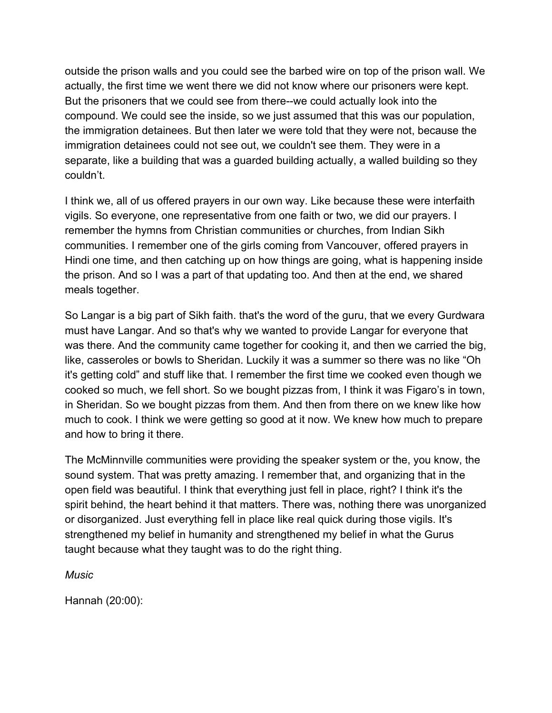outside the prison walls and you could see the barbed wire on top of the prison wall. We actually, the first time we went there we did not know where our prisoners were kept. But the prisoners that we could see from there--we could actually look into the compound. We could see the inside, so we just assumed that this was our population, the immigration detainees. But then later we were told that they were not, because the immigration detainees could not see out, we couldn't see them. They were in a separate, like a building that was a guarded building actually, a walled building so they couldn't.

I think we, all of us offered prayers in our own way. Like because these were interfaith vigils. So everyone, one representative from one faith or two, we did our prayers. I remember the hymns from Christian communities or churches, from Indian Sikh communities. I remember one of the girls coming from Vancouver, offered prayers in Hindi one time, and then catching up on how things are going, what is happening inside the prison. And so I was a part of that updating too. And then at the end, we shared meals together.

So Langar is a big part of Sikh faith. that's the word of the guru, that we every Gurdwara must have Langar. And so that's why we wanted to provide Langar for everyone that was there. And the community came together for cooking it, and then we carried the big, like, casseroles or bowls to Sheridan. Luckily it was a summer so there was no like "Oh it's getting cold" and stuff like that. I remember the first time we cooked even though we cooked so much, we fell short. So we bought pizzas from, I think it was Figaro's in town, in Sheridan. So we bought pizzas from them. And then from there on we knew like how much to cook. I think we were getting so good at it now. We knew how much to prepare and how to bring it there.

The McMinnville communities were providing the speaker system or the, you know, the sound system. That was pretty amazing. I remember that, and organizing that in the open field was beautiful. I think that everything just fell in place, right? I think it's the spirit behind, the heart behind it that matters. There was, nothing there was unorganized or disorganized. Just everything fell in place like real quick during those vigils. It's strengthened my belief in humanity and strengthened my belief in what the Gurus taught because what they taught was to do the right thing.

*Music*

Hannah (20:00):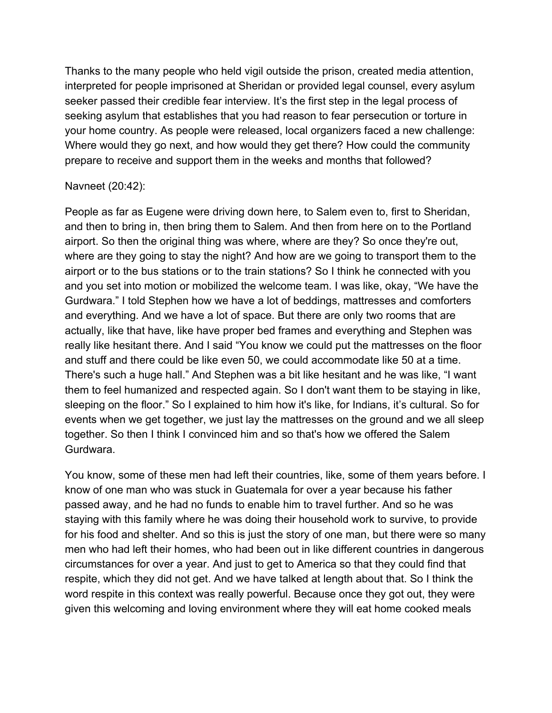Thanks to the many people who held vigil outside the prison, created media attention, interpreted for people imprisoned at Sheridan or provided legal counsel, every asylum seeker passed their credible fear interview. It's the first step in the legal process of seeking asylum that establishes that you had reason to fear persecution or torture in your home country. As people were released, local organizers faced a new challenge: Where would they go next, and how would they get there? How could the community prepare to receive and support them in the weeks and months that followed?

#### Navneet (20:42):

People as far as Eugene were driving down here, to Salem even to, first to Sheridan, and then to bring in, then bring them to Salem. And then from here on to the Portland airport. So then the original thing was where, where are they? So once they're out, where are they going to stay the night? And how are we going to transport them to the airport or to the bus stations or to the train stations? So I think he connected with you and you set into motion or mobilized the welcome team. I was like, okay, "We have the Gurdwara." I told Stephen how we have a lot of beddings, mattresses and comforters and everything. And we have a lot of space. But there are only two rooms that are actually, like that have, like have proper bed frames and everything and Stephen was really like hesitant there. And I said "You know we could put the mattresses on the floor and stuff and there could be like even 50, we could accommodate like 50 at a time. There's such a huge hall." And Stephen was a bit like hesitant and he was like, "I want them to feel humanized and respected again. So I don't want them to be staying in like, sleeping on the floor." So I explained to him how it's like, for Indians, it's cultural. So for events when we get together, we just lay the mattresses on the ground and we all sleep together. So then I think I convinced him and so that's how we offered the Salem Gurdwara.

You know, some of these men had left their countries, like, some of them years before. I know of one man who was stuck in Guatemala for over a year because his father passed away, and he had no funds to enable him to travel further. And so he was staying with this family where he was doing their household work to survive, to provide for his food and shelter. And so this is just the story of one man, but there were so many men who had left their homes, who had been out in like different countries in dangerous circumstances for over a year. And just to get to America so that they could find that respite, which they did not get. And we have talked at length about that. So I think the word respite in this context was really powerful. Because once they got out, they were given this welcoming and loving environment where they will eat home cooked meals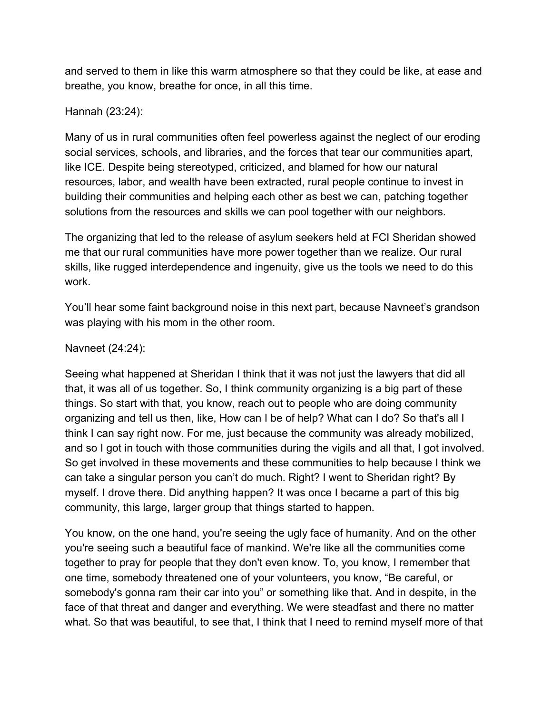and served to them in like this warm atmosphere so that they could be like, at ease and breathe, you know, breathe for once, in all this time.

## Hannah (23:24):

Many of us in rural communities often feel powerless against the neglect of our eroding social services, schools, and libraries, and the forces that tear our communities apart, like ICE. Despite being stereotyped, criticized, and blamed for how our natural resources, labor, and wealth have been extracted, rural people continue to invest in building their communities and helping each other as best we can, patching together solutions from the resources and skills we can pool together with our neighbors.

The organizing that led to the release of asylum seekers held at FCI Sheridan showed me that our rural communities have more power together than we realize. Our rural skills, like rugged interdependence and ingenuity, give us the tools we need to do this work.

You'll hear some faint background noise in this next part, because Navneet's grandson was playing with his mom in the other room.

## Navneet (24:24):

Seeing what happened at Sheridan I think that it was not just the lawyers that did all that, it was all of us together. So, I think community organizing is a big part of these things. So start with that, you know, reach out to people who are doing community organizing and tell us then, like, How can I be of help? What can I do? So that's all I think I can say right now. For me, just because the community was already mobilized, and so I got in touch with those communities during the vigils and all that, I got involved. So get involved in these movements and these communities to help because I think we can take a singular person you can't do much. Right? I went to Sheridan right? By myself. I drove there. Did anything happen? It was once I became a part of this big community, this large, larger group that things started to happen.

You know, on the one hand, you're seeing the ugly face of humanity. And on the other you're seeing such a beautiful face of mankind. We're like all the communities come together to pray for people that they don't even know. To, you know, I remember that one time, somebody threatened one of your volunteers, you know, "Be careful, or somebody's gonna ram their car into you" or something like that. And in despite, in the face of that threat and danger and everything. We were steadfast and there no matter what. So that was beautiful, to see that, I think that I need to remind myself more of that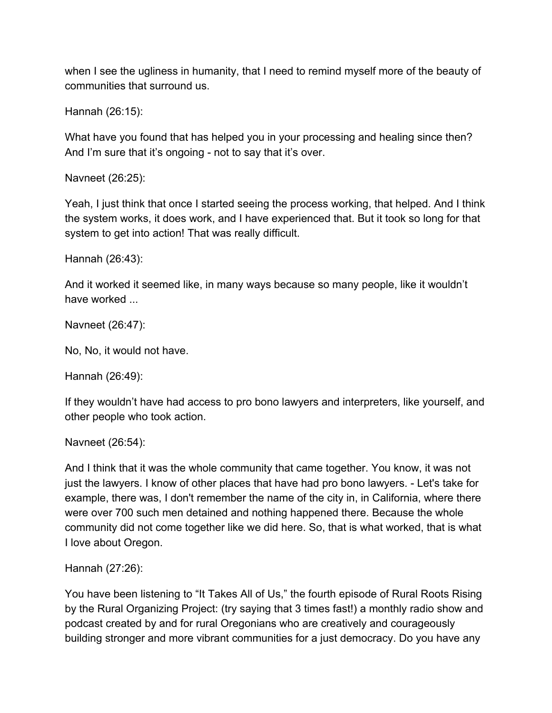when I see the ugliness in humanity, that I need to remind myself more of the beauty of communities that surround us.

Hannah (26:15):

What have you found that has helped you in your processing and healing since then? And I'm sure that it's ongoing - not to say that it's over.

Navneet (26:25):

Yeah, I just think that once I started seeing the process working, that helped. And I think the system works, it does work, and I have experienced that. But it took so long for that system to get into action! That was really difficult.

Hannah (26:43):

And it worked it seemed like, in many ways because so many people, like it wouldn't have worked ...

Navneet (26:47):

No, No, it would not have.

Hannah (26:49):

If they wouldn't have had access to pro bono lawyers and interpreters, like yourself, and other people who took action.

Navneet (26:54):

And I think that it was the whole community that came together. You know, it was not just the lawyers. I know of other places that have had pro bono lawyers. - Let's take for example, there was, I don't remember the name of the city in, in California, where there were over 700 such men detained and nothing happened there. Because the whole community did not come together like we did here. So, that is what worked, that is what I love about Oregon.

Hannah (27:26):

You have been listening to "It Takes All of Us," the fourth episode of Rural Roots Rising by the Rural Organizing Project: (try saying that 3 times fast!) a monthly radio show and podcast created by and for rural Oregonians who are creatively and courageously building stronger and more vibrant communities for a just democracy. Do you have any